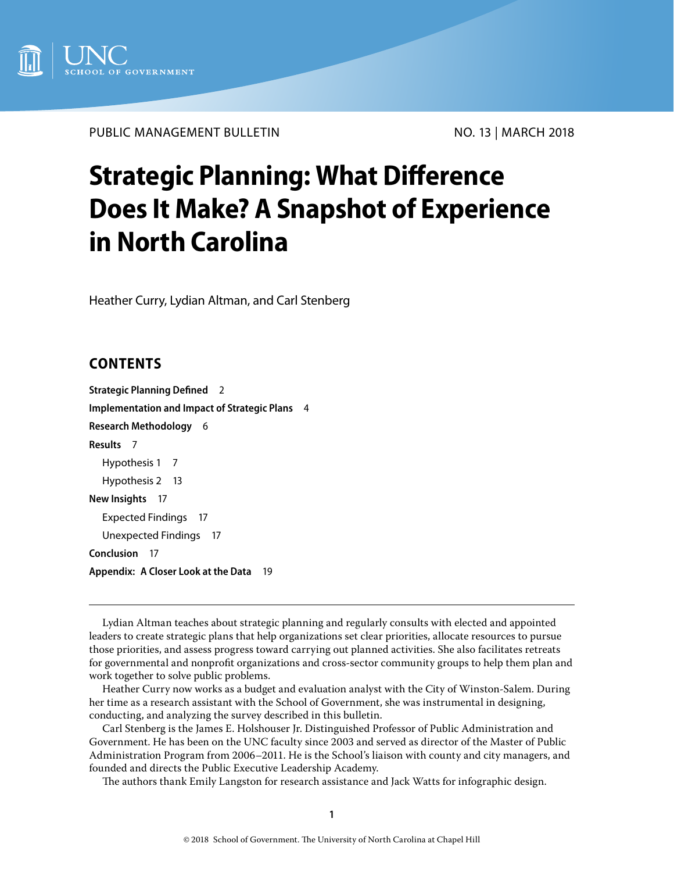

PUBLIC MANAGEMENT BULLETIN NO. 13 | MARCH 2018

# **Strategic Planning: What Difference Does It Make? A Snapshot of Experience in North Carolina**

Heather Curry, Lydian Altman, and Carl Stenberg

# **CONTENTS**

**[Strategic Planning Defined](#page-1-0)** 2 **[Implementation and Impact of Strategic Plans](#page-3-0)** 4 **[Research Methodology](#page-5-0)** 6 **[Results](#page-6-0)** 7 [Hypothesis 1](#page-6-0) 7 [Hypothesis 2](#page-12-0) 13 **[New Insights](#page-16-0)** 17 [Expected Findings](#page-16-0) 17 [Unexpected Findings](#page-16-0) 17 **[Conclusion](#page-16-0)** 17 **Appendix: [A Closer Look at the Data](#page-18-0)** 19

Lydian Altman teaches about strategic planning and regularly consults with elected and appointed leaders to create strategic plans that help organizations set clear priorities, allocate resources to pursue those priorities, and assess progress toward carrying out planned activities. She also facilitates retreats for governmental and nonprofit organizations and cross-sector community groups to help them plan and work together to solve public problems.

Heather Curry now works as a budget and evaluation analyst with the City of Winston-Salem. During her time as a research assistant with the School of Government, she was instrumental in designing, conducting, and analyzing the survey described in this bulletin.

Carl Stenberg is the James E. Holshouser Jr. Distinguished Professor of Public Administration and Government. He has been on the UNC faculty since 2003 and served as director of the Master of Public Administration Program from 2006–2011. He is the School's liaison with county and city managers, and founded and directs the Public Executive Leadership Academy.

The authors thank Emily Langston for research assistance and Jack Watts for infographic design.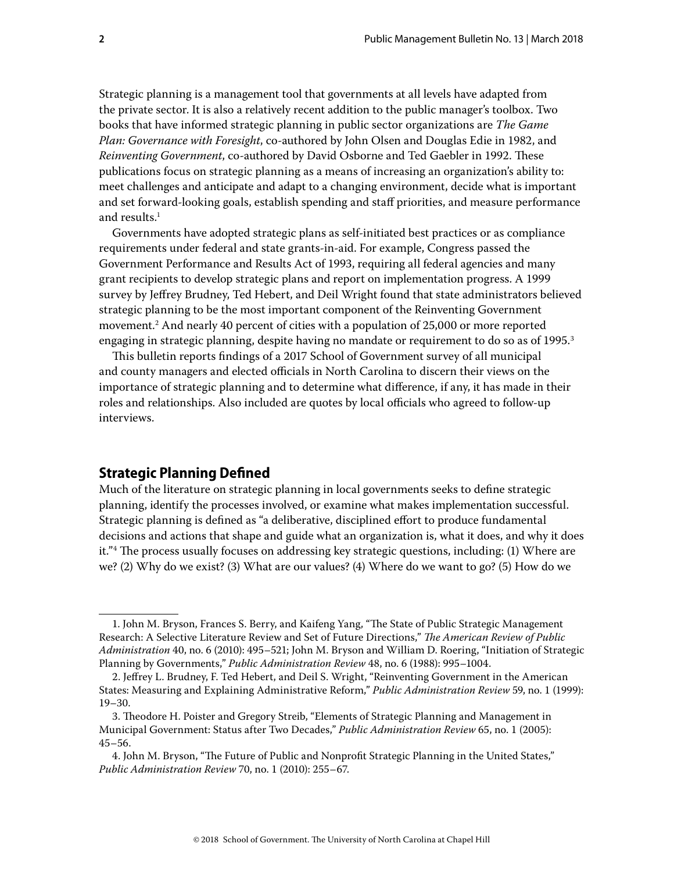<span id="page-1-0"></span>Strategic planning is a management tool that governments at all levels have adapted from the private sector. It is also a relatively recent addition to the public manager's toolbox. Two books that have informed strategic planning in public sector organizations are *The Game Plan: Governance with Foresight*, co-authored by John Olsen and Douglas Edie in 1982, and *Reinventing Government*, co-authored by David Osborne and Ted Gaebler in 1992. These publications focus on strategic planning as a means of increasing an organization's ability to: meet challenges and anticipate and adapt to a changing environment, decide what is important and set forward-looking goals, establish spending and staff priorities, and measure performance and results.<sup>1</sup>

Governments have adopted strategic plans as self-initiated best practices or as compliance requirements under federal and state grants-in-aid. For example, Congress passed the Government Performance and Results Act of 1993, requiring all federal agencies and many grant recipients to develop strategic plans and report on implementation progress. A 1999 survey by Jeffrey Brudney, Ted Hebert, and Deil Wright found that state administrators believed strategic planning to be the most important component of the Reinventing Government movement.2 And nearly 40 percent of cities with a population of 25,000 or more reported engaging in strategic planning, despite having no mandate or requirement to do so as of 1995.<sup>3</sup>

This bulletin reports findings of a 2017 School of Government survey of all municipal and county managers and elected officials in North Carolina to discern their views on the importance of strategic planning and to determine what difference, if any, it has made in their roles and relationships. Also included are quotes by local officials who agreed to follow-up interviews.

# **Strategic Planning Defined**

Much of the literature on strategic planning in local governments seeks to define strategic planning, identify the processes involved, or examine what makes implementation successful. Strategic planning is defined as "a deliberative, disciplined effort to produce fundamental decisions and actions that shape and guide what an organization is, what it does, and why it does it."4 The process usually focuses on addressing key strategic questions, including: (1) Where are we? (2) Why do we exist? (3) What are our values? (4) Where do we want to go? (5) How do we

<sup>1.</sup> John M. Bryson, Frances S. Berry, and Kaifeng Yang, "The State of Public Strategic Management Research: A Selective Literature Review and Set of Future Directions," *The American Review of Public Administration* 40, no. 6 (2010): 495–521; John M. Bryson and William D. Roering, "Initiation of Strategic Planning by Governments," *Public Administration Review* 48, no. 6 (1988): 995–1004.

<sup>2.</sup> Jeffrey L. Brudney, F. Ted Hebert, and Deil S. Wright, "Reinventing Government in the American States: Measuring and Explaining Administrative Reform," *Public Administration Review* 59, no. 1 (1999): 19–30.

<sup>3.</sup> Theodore H. Poister and Gregory Streib, "Elements of Strategic Planning and Management in Municipal Government: Status after Two Decades," *Public Administration Review* 65, no. 1 (2005): 45–56.

<sup>4.</sup> John M. Bryson, "The Future of Public and Nonprofit Strategic Planning in the United States," *Public Administration Review* 70, no. 1 (2010): 255–67.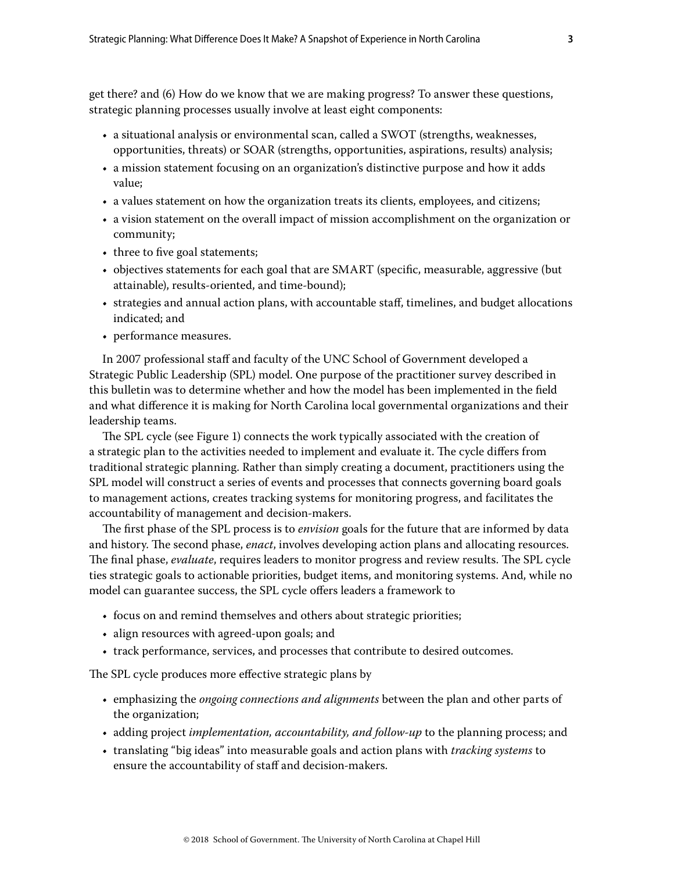get there? and (6) How do we know that we are making progress? To answer these questions, strategic planning processes usually involve at least eight components:

- a situational analysis or environmental scan, called a SWOT (strengths, weaknesses, opportunities, threats) or SOAR (strengths, opportunities, aspirations, results) analysis;
- a mission statement focusing on an organization's distinctive purpose and how it adds value;
- a values statement on how the organization treats its clients, employees, and citizens;
- a vision statement on the overall impact of mission accomplishment on the organization or community;
- three to five goal statements;
- objectives statements for each goal that are SMART (specific, measurable, aggressive (but attainable), results-oriented, and time-bound);
- strategies and annual action plans, with accountable staff, timelines, and budget allocations indicated; and
- performance measures.

In 2007 professional staff and faculty of the UNC School of Government developed a Strategic Public Leadership (SPL) model. One purpose of the practitioner survey described in this bulletin was to determine whether and how the model has been implemented in the field and what difference it is making for North Carolina local governmental organizations and their leadership teams.

The SPL cycle (see Figure 1) connects the work typically associated with the creation of a strategic plan to the activities needed to implement and evaluate it. The cycle differs from traditional strategic planning. Rather than simply creating a document, practitioners using the SPL model will construct a series of events and processes that connects governing board goals to management actions, creates tracking systems for monitoring progress, and facilitates the accountability of management and decision-makers.

The first phase of the SPL process is to *envision* goals for the future that are informed by data and history. The second phase, *enact*, involves developing action plans and allocating resources. The final phase, *evaluate*, requires leaders to monitor progress and review results. The SPL cycle ties strategic goals to actionable priorities, budget items, and monitoring systems. And, while no model can guarantee success, the SPL cycle offers leaders a framework to

- focus on and remind themselves and others about strategic priorities;
- align resources with agreed-upon goals; and
- track performance, services, and processes that contribute to desired outcomes.

The SPL cycle produces more effective strategic plans by

- emphasizing the *ongoing connections and alignments* between the plan and other parts of the organization;
- adding project *implementation, accountability, and follow-up* to the planning process; and
- translating "big ideas" into measurable goals and action plans with *tracking systems* to ensure the accountability of staff and decision-makers.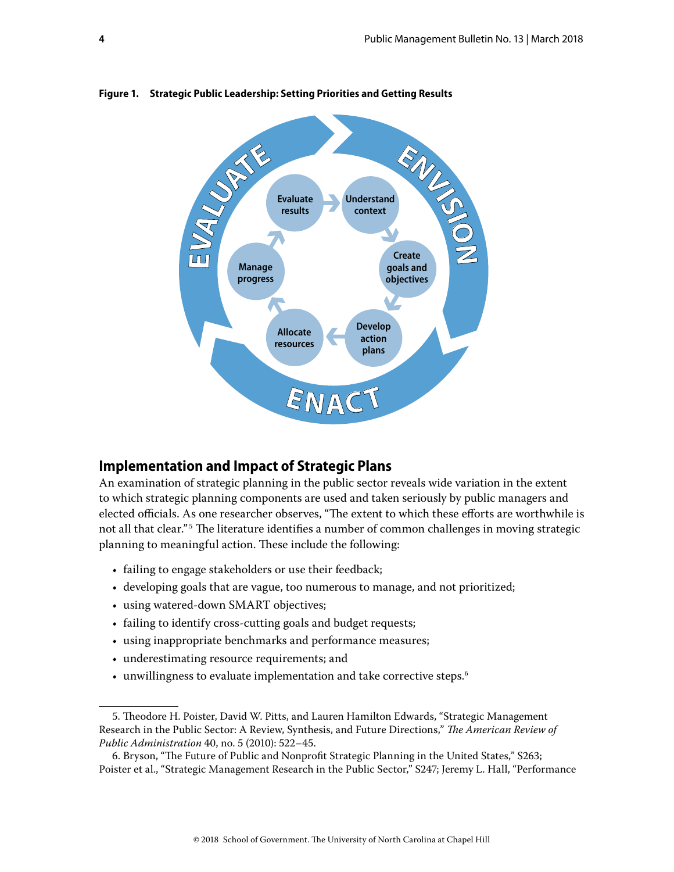

<span id="page-3-0"></span>**Figure 1. Strategic Public Leadership: Setting Priorities and Getting Results**

#### **Implementation and Impact of Strategic Plans**

An examination of strategic planning in the public sector reveals wide variation in the extent to which strategic planning components are used and taken seriously by public managers and elected officials. As one researcher observes, "The extent to which these efforts are worthwhile is not all that clear." <sup>5</sup> The literature identifies a number of common challenges in moving strategic planning to meaningful action. These include the following:

- failing to engage stakeholders or use their feedback;
- developing goals that are vague, too numerous to manage, and not prioritized;
- using watered-down SMART objectives;
- failing to identify cross-cutting goals and budget requests;
- using inappropriate benchmarks and performance measures;
- underestimating resource requirements; and
- unwillingness to evaluate implementation and take corrective steps.<sup>6</sup>

<sup>5.</sup> Theodore H. Poister, David W. Pitts, and Lauren Hamilton Edwards, "Strategic Management Research in the Public Sector: A Review, Synthesis, and Future Directions," *The American Review of Public Administration* 40, no. 5 (2010): 522–45.

<sup>6.</sup> Bryson, "The Future of Public and Nonprofit Strategic Planning in the United States," S263; Poister et al., "Strategic Management Research in the Public Sector," S247; Jeremy L. Hall, "Performance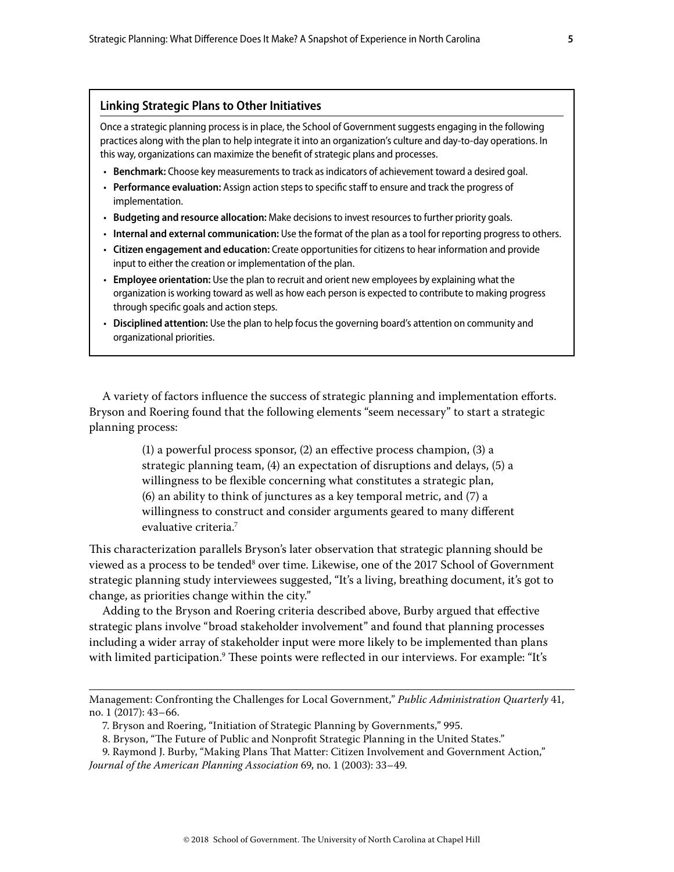#### **Linking Strategic Plans to Other Initiatives**

Once a strategic planning process is in place, the School of Government suggests engaging in the following practices along with the plan to help integrate it into an organization's culture and day-to-day operations. In this way, organizations can maximize the benefit of strategic plans and processes.

- **Benchmark:** Choose key measurements to track as indicators of achievement toward a desired goal.
- **Performance evaluation:** Assign action steps to specific staff to ensure and track the progress of implementation.
- **Budgeting and resource allocation:** Make decisions to invest resources to further priority goals.
- **Internal and external communication:** Use the format of the plan as a tool for reporting progress to others.
- **Citizen engagement and education:** Create opportunities for citizens to hear information and provide input to either the creation or implementation of the plan.
- **Employee orientation:** Use the plan to recruit and orient new employees by explaining what the organization is working toward as well as how each person is expected to contribute to making progress through specific goals and action steps.
- **Disciplined attention:** Use the plan to help focus the governing board's attention on community and organizational priorities.

A variety of factors influence the success of strategic planning and implementation efforts. Bryson and Roering found that the following elements "seem necessary" to start a strategic planning process:

> (1) a powerful process sponsor, (2) an effective process champion, (3) a strategic planning team, (4) an expectation of disruptions and delays, (5) a willingness to be flexible concerning what constitutes a strategic plan, (6) an ability to think of junctures as a key temporal metric, and (7) a willingness to construct and consider arguments geared to many different evaluative criteria.7

This characterization parallels Bryson's later observation that strategic planning should be viewed as a process to be tended<sup>8</sup> over time. Likewise, one of the 2017 School of Government strategic planning study interviewees suggested, "It's a living, breathing document, it's got to change, as priorities change within the city."

Adding to the Bryson and Roering criteria described above, Burby argued that effective strategic plans involve "broad stakeholder involvement" and found that planning processes including a wider array of stakeholder input were more likely to be implemented than plans with limited participation.<sup>9</sup> These points were reflected in our interviews. For example: "It's

- 8. Bryson, "The Future of Public and Nonprofit Strategic Planning in the United States."
- 9. Raymond J. Burby, "Making Plans That Matter: Citizen Involvement and Government Action," *Journal of the American Planning Association* 69, no. 1 (2003): 33–49.

Management: Confronting the Challenges for Local Government," *Public Administration Quarterly* 41, no. 1 (2017): 43–66.

<sup>7.</sup> Bryson and Roering, "Initiation of Strategic Planning by Governments," 995.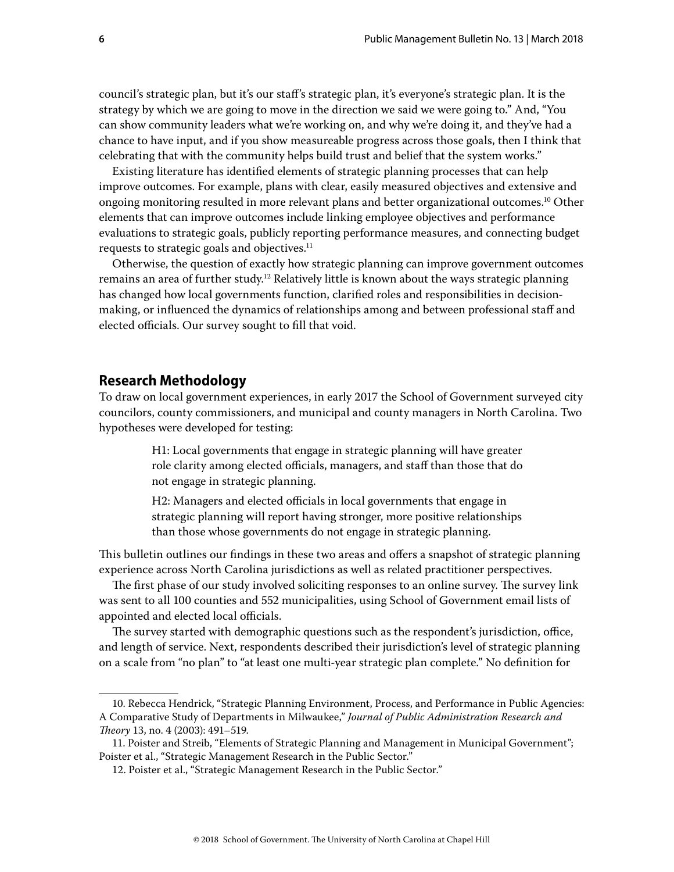<span id="page-5-0"></span>council's strategic plan, but it's our staff's strategic plan, it's everyone's strategic plan. It is the strategy by which we are going to move in the direction we said we were going to." And, "You can show community leaders what we're working on, and why we're doing it, and they've had a chance to have input, and if you show measureable progress across those goals, then I think that celebrating that with the community helps build trust and belief that the system works."

Existing literature has identified elements of strategic planning processes that can help improve outcomes. For example, plans with clear, easily measured objectives and extensive and ongoing monitoring resulted in more relevant plans and better organizational outcomes.10 Other elements that can improve outcomes include linking employee objectives and performance evaluations to strategic goals, publicly reporting performance measures, and connecting budget requests to strategic goals and objectives.<sup>11</sup>

Otherwise, the question of exactly how strategic planning can improve government outcomes remains an area of further study.<sup>12</sup> Relatively little is known about the ways strategic planning has changed how local governments function, clarified roles and responsibilities in decisionmaking, or influenced the dynamics of relationships among and between professional staff and elected officials. Our survey sought to fill that void.

# **Research Methodology**

To draw on local government experiences, in early 2017 the School of Government surveyed city councilors, county commissioners, and municipal and county managers in North Carolina. Two hypotheses were developed for testing:

> H1: Local governments that engage in strategic planning will have greater role clarity among elected officials, managers, and staff than those that do not engage in strategic planning.

> H2: Managers and elected officials in local governments that engage in strategic planning will report having stronger, more positive relationships than those whose governments do not engage in strategic planning.

This bulletin outlines our findings in these two areas and offers a snapshot of strategic planning experience across North Carolina jurisdictions as well as related practitioner perspectives.

The first phase of our study involved soliciting responses to an online survey. The survey link was sent to all 100 counties and 552 municipalities, using School of Government email lists of appointed and elected local officials.

The survey started with demographic questions such as the respondent's jurisdiction, office, and length of service. Next, respondents described their jurisdiction's level of strategic planning on a scale from "no plan" to "at least one multi-year strategic plan complete." No definition for

<sup>10.</sup> Rebecca Hendrick, "Strategic Planning Environment, Process, and Performance in Public Agencies: A Comparative Study of Departments in Milwaukee," *Journal of Public Administration Research and Theory* 13, no. 4 (2003): 491–519.

<sup>11.</sup> Poister and Streib, "Elements of Strategic Planning and Management in Municipal Government"; Poister et al., "Strategic Management Research in the Public Sector."

<sup>12.</sup> Poister et al., "Strategic Management Research in the Public Sector."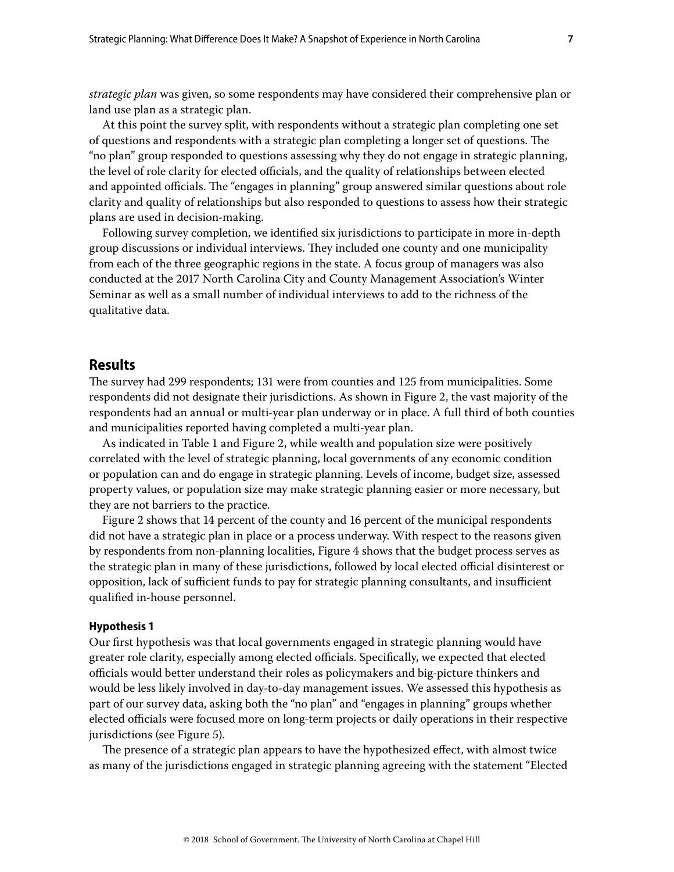<span id="page-6-0"></span>*strategic plan* was given, so some respondents may have considered their comprehensive plan or land use plan as a strategic plan.

At this point the survey split, with respondents without a strategic plan completing one set of questions and respondents with a strategic plan completing a longer set of questions. The "no plan" group responded to questions assessing why they do not engage in strategic planning, the level of role clarity for elected officials, and the quality of relationships between elected and appointed officials. The "engages in planning" group answered similar questions about role clarity and quality of relationships but also responded to questions to assess how their strategic plans are used in decision-making.

Following survey completion, we identified six jurisdictions to participate in more in-depth group discussions or individual interviews. They included one county and one municipality from each of the three geographic regions in the state. A focus group of managers was also conducted at the 2017 North Carolina City and County Management Association's Winter Seminar as well as a small number of individual interviews to add to the richness of the qualitative data.

#### **Results**

The survey had 299 respondents; 131 were from counties and 125 from municipalities. Some respondents did not designate their jurisdictions. As shown in Figure 2, the vast majority of the respondents had an annual or multi-year plan underway or in place. A full third of both counties and municipalities reported having completed a multi-year plan.

As indicated in Table 1 and Figure 2, while wealth and population size were positively correlated with the level of strategic planning, local governments of any economic condition or population can and do engage in strategic planning. Levels of income, budget size, assessed property values, or population size may make strategic planning easier or more necessary, but they are not barriers to the practice.

Figure 2 shows that 14 percent of the county and 16 percent of the municipal respondents did not have a strategic plan in place or a process underway. With respect to the reasons given by respondents from non-planning localities, Figure 4 shows that the budget process serves as the strategic plan in many of these jurisdictions, followed by local elected official disinterest or opposition, lack of sufficient funds to pay for strategic planning consultants, and insufficient qualified in-house personnel.

#### **Hypothesis 1**

Our first hypothesis was that local governments engaged in strategic planning would have greater role clarity, especially among elected officials. Specifically, we expected that elected officials would better understand their roles as policymakers and big-picture thinkers and would be less likely involved in day-to-day management issues. We assessed this hypothesis as part of our survey data, asking both the "no plan" and "engages in planning" groups whether elected officials were focused more on long-term projects or daily operations in their respective jurisdictions (see Figure 5).

The presence of a strategic plan appears to have the hypothesized effect, with almost twice as many of the jurisdictions engaged in strategic planning agreeing with the statement "Elected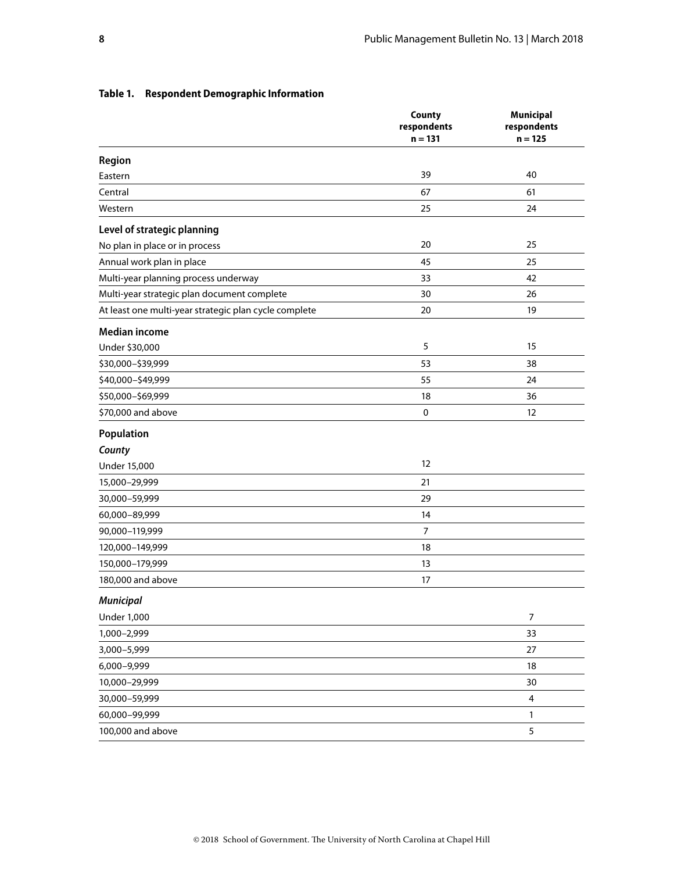|                                                       | County<br>respondents<br>$n = 131$ | <b>Municipal</b><br>respondents<br>$n = 125$ |
|-------------------------------------------------------|------------------------------------|----------------------------------------------|
|                                                       |                                    |                                              |
| Region                                                |                                    |                                              |
| Eastern                                               | 39                                 | 40                                           |
| Central                                               | 67                                 | 61                                           |
| Western                                               | 25                                 | 24                                           |
| Level of strategic planning                           |                                    |                                              |
| No plan in place or in process                        | 20                                 | 25                                           |
| Annual work plan in place                             | 45                                 | 25                                           |
| Multi-year planning process underway                  | 33                                 | 42                                           |
| Multi-year strategic plan document complete           | 30                                 | 26                                           |
| At least one multi-year strategic plan cycle complete | 20                                 | 19                                           |
| <b>Median income</b>                                  |                                    |                                              |
| Under \$30,000                                        | 5                                  | 15                                           |
| \$30,000-\$39,999                                     | 53                                 | 38                                           |
| \$40,000-\$49,999                                     | 55                                 | 24                                           |
| \$50,000-\$69,999                                     | 18                                 | 36                                           |
| \$70,000 and above                                    | 0                                  | 12                                           |
| Population                                            |                                    |                                              |
| County                                                |                                    |                                              |
| <b>Under 15,000</b>                                   | 12                                 |                                              |
| 15,000-29,999                                         | 21                                 |                                              |
| 30,000-59,999                                         | 29                                 |                                              |
| 60,000-89,999                                         | 14                                 |                                              |
| 90,000-119,999                                        | $\overline{7}$                     |                                              |
| 120,000-149,999                                       | 18                                 |                                              |
| 150,000-179,999                                       | 13                                 |                                              |
| 180,000 and above                                     | 17                                 |                                              |
| <b>Municipal</b>                                      |                                    |                                              |
| <b>Under 1,000</b>                                    |                                    | $\overline{7}$                               |
| 1,000-2,999                                           |                                    | 33                                           |
| 3,000-5,999                                           |                                    | 27                                           |
| 6,000-9,999                                           |                                    | 18                                           |
| 10,000-29,999                                         |                                    | 30                                           |
| 30,000-59,999                                         |                                    | $\overline{\mathbf{4}}$                      |
| 60,000-99,999                                         |                                    | 1                                            |
| 100,000 and above                                     |                                    | 5                                            |

#### **Table 1. Respondent Demographic Information**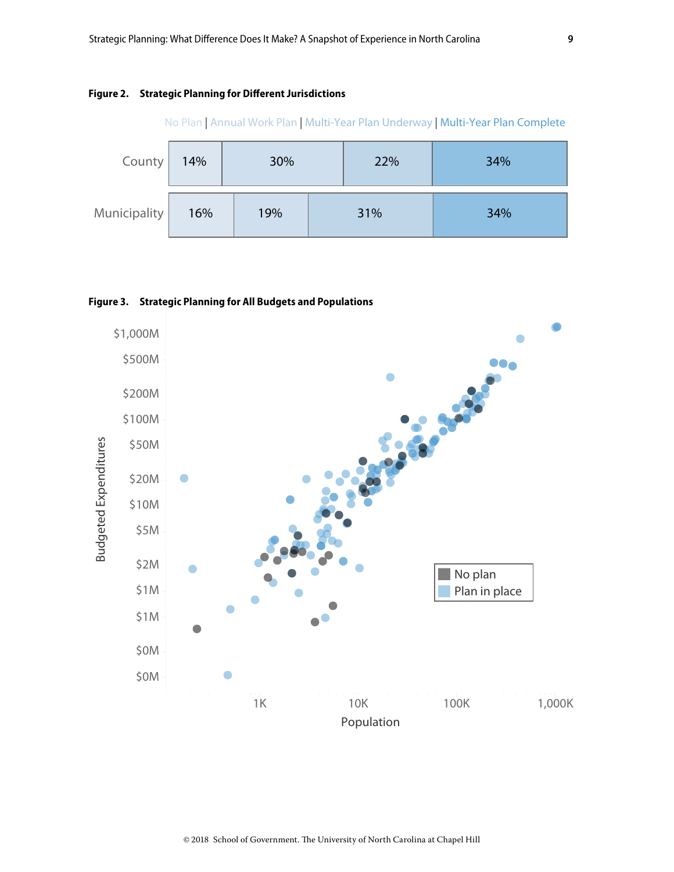#### **Figure 2. Strategic Planning for Different Jurisdictions**



No Plan | Annual Work Plan | Multi-Year Plan Underway | Multi-Year Plan Complete

#### **Figure 3. Strategic Planning for All Budgets and Populations**

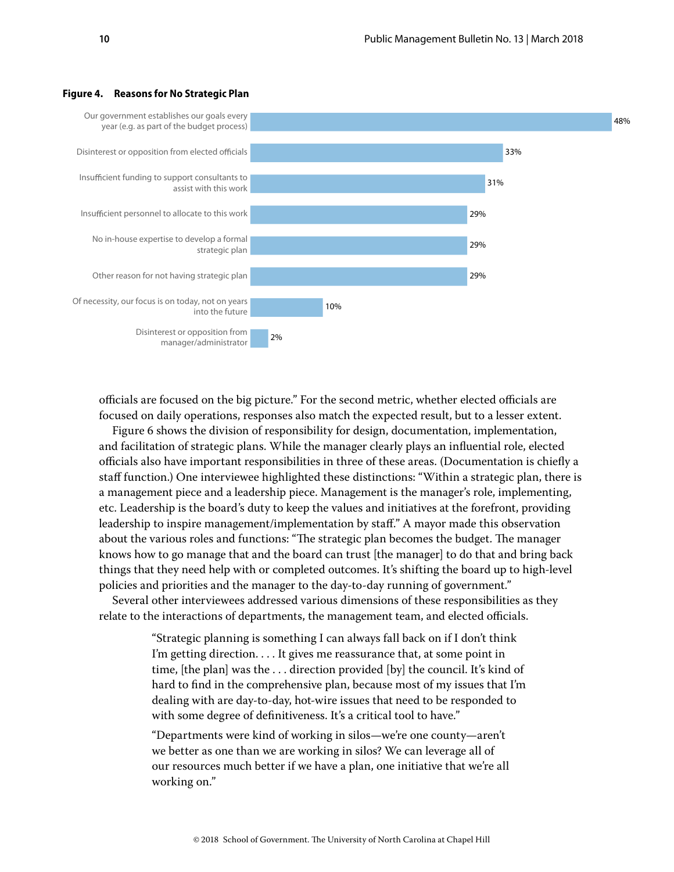

#### **Figure 4. Reasons for No Strategic Plan**

officials are focused on the big picture." For the second metric, whether elected officials are focused on daily operations, responses also match the expected result, but to a lesser extent.

Figure 6 shows the division of responsibility for design, documentation, implementation, and facilitation of strategic plans. While the manager clearly plays an influential role, elected officials also have important responsibilities in three of these areas. (Documentation is chiefly a staff function.) One interviewee highlighted these distinctions: "Within a strategic plan, there is a management piece and a leadership piece. Management is the manager's role, implementing, etc. Leadership is the board's duty to keep the values and initiatives at the forefront, providing leadership to inspire management/implementation by staff." A mayor made this observation about the various roles and functions: "The strategic plan becomes the budget. The manager knows how to go manage that and the board can trust [the manager] to do that and bring back things that they need help with or completed outcomes. It's shifting the board up to high-level policies and priorities and the manager to the day-to-day running of government."

Several other interviewees addressed various dimensions of these responsibilities as they relate to the interactions of departments, the management team, and elected officials.

> "Strategic planning is something I can always fall back on if I don't think I'm getting direction. . . . It gives me reassurance that, at some point in time, [the plan] was the . . . direction provided [by] the council. It's kind of hard to find in the comprehensive plan, because most of my issues that I'm dealing with are day-to-day, hot-wire issues that need to be responded to with some degree of definitiveness. It's a critical tool to have."

"Departments were kind of working in silos—we're one county—aren't we better as one than we are working in silos? We can leverage all of our resources much better if we have a plan, one initiative that we're all working on."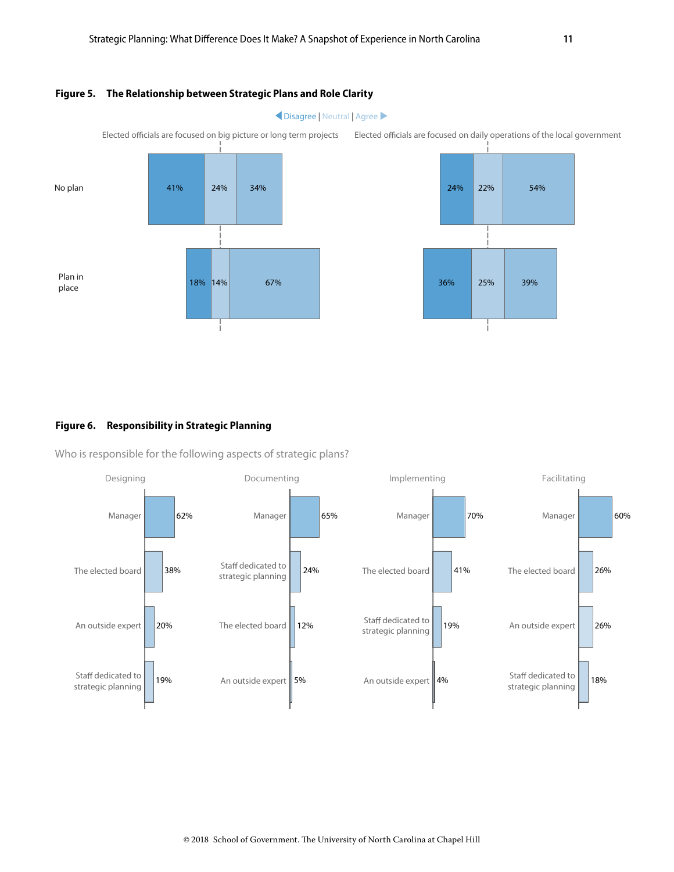#### **Figure 5. The Relationship between Strategic Plans and Role Clarity**



#### **Figure 6. Responsibility in Strategic Planning**

Who is responsible for the following aspects of strategic plans?

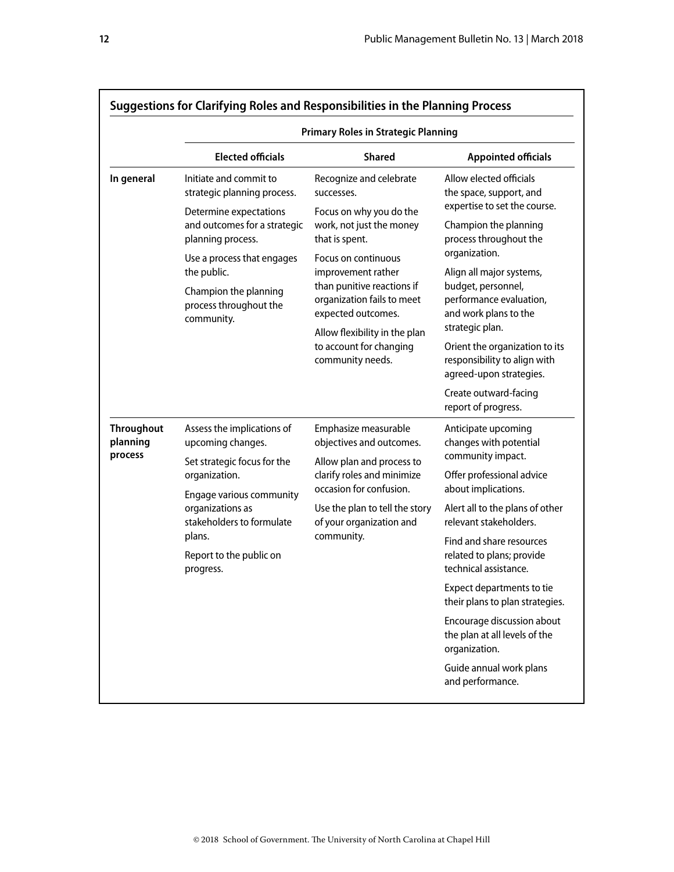|                                                                                                                                                                                                                                                                            |                                                                                                                                                                                                                                                    | <b>Primary Roles in Strategic Planning</b>                                                                                                                                                                                                                                                                                    |                                                                                                                                                                                                                                                                                                                                                                              |
|----------------------------------------------------------------------------------------------------------------------------------------------------------------------------------------------------------------------------------------------------------------------------|----------------------------------------------------------------------------------------------------------------------------------------------------------------------------------------------------------------------------------------------------|-------------------------------------------------------------------------------------------------------------------------------------------------------------------------------------------------------------------------------------------------------------------------------------------------------------------------------|------------------------------------------------------------------------------------------------------------------------------------------------------------------------------------------------------------------------------------------------------------------------------------------------------------------------------------------------------------------------------|
|                                                                                                                                                                                                                                                                            | <b>Elected officials</b>                                                                                                                                                                                                                           | <b>Shared</b>                                                                                                                                                                                                                                                                                                                 | <b>Appointed officials</b>                                                                                                                                                                                                                                                                                                                                                   |
| In general                                                                                                                                                                                                                                                                 | Initiate and commit to<br>strategic planning process.<br>Determine expectations<br>and outcomes for a strategic<br>planning process.<br>Use a process that engages<br>the public.<br>Champion the planning<br>process throughout the<br>community. | Recognize and celebrate<br>successes.<br>Focus on why you do the<br>work, not just the money<br>that is spent.<br>Focus on continuous<br>improvement rather<br>than punitive reactions if<br>organization fails to meet<br>expected outcomes.<br>Allow flexibility in the plan<br>to account for changing<br>community needs. | Allow elected officials<br>the space, support, and<br>expertise to set the course.<br>Champion the planning<br>process throughout the<br>organization.<br>Align all major systems,<br>budget, personnel,<br>performance evaluation,<br>and work plans to the<br>strategic plan.<br>Orient the organization to its<br>responsibility to align with<br>agreed-upon strategies. |
|                                                                                                                                                                                                                                                                            |                                                                                                                                                                                                                                                    |                                                                                                                                                                                                                                                                                                                               | Create outward-facing<br>report of progress.                                                                                                                                                                                                                                                                                                                                 |
| <b>Throughout</b><br>Assess the implications of<br>planning<br>upcoming changes.<br>process<br>Set strategic focus for the<br>organization.<br>Engage various community<br>organizations as<br>stakeholders to formulate<br>plans.<br>Report to the public on<br>progress. | Emphasize measurable<br>objectives and outcomes.<br>Allow plan and process to<br>clarify roles and minimize<br>occasion for confusion.<br>Use the plan to tell the story<br>of your organization and                                               |                                                                                                                                                                                                                                                                                                                               | Anticipate upcoming<br>changes with potential<br>community impact.<br>Offer professional advice<br>about implications.                                                                                                                                                                                                                                                       |
|                                                                                                                                                                                                                                                                            |                                                                                                                                                                                                                                                    | Alert all to the plans of other<br>relevant stakeholders.                                                                                                                                                                                                                                                                     |                                                                                                                                                                                                                                                                                                                                                                              |
|                                                                                                                                                                                                                                                                            | community.                                                                                                                                                                                                                                         | Find and share resources<br>related to plans; provide<br>technical assistance.                                                                                                                                                                                                                                                |                                                                                                                                                                                                                                                                                                                                                                              |
|                                                                                                                                                                                                                                                                            |                                                                                                                                                                                                                                                    | Expect departments to tie<br>their plans to plan strategies.                                                                                                                                                                                                                                                                  |                                                                                                                                                                                                                                                                                                                                                                              |
|                                                                                                                                                                                                                                                                            |                                                                                                                                                                                                                                                    |                                                                                                                                                                                                                                                                                                                               | Encourage discussion about<br>the plan at all levels of the<br>organization.                                                                                                                                                                                                                                                                                                 |
|                                                                                                                                                                                                                                                                            |                                                                                                                                                                                                                                                    |                                                                                                                                                                                                                                                                                                                               | Guide annual work plans<br>and performance.                                                                                                                                                                                                                                                                                                                                  |

#### **Suggestions for Clarifying Roles and Responsibilities in the Planning Process**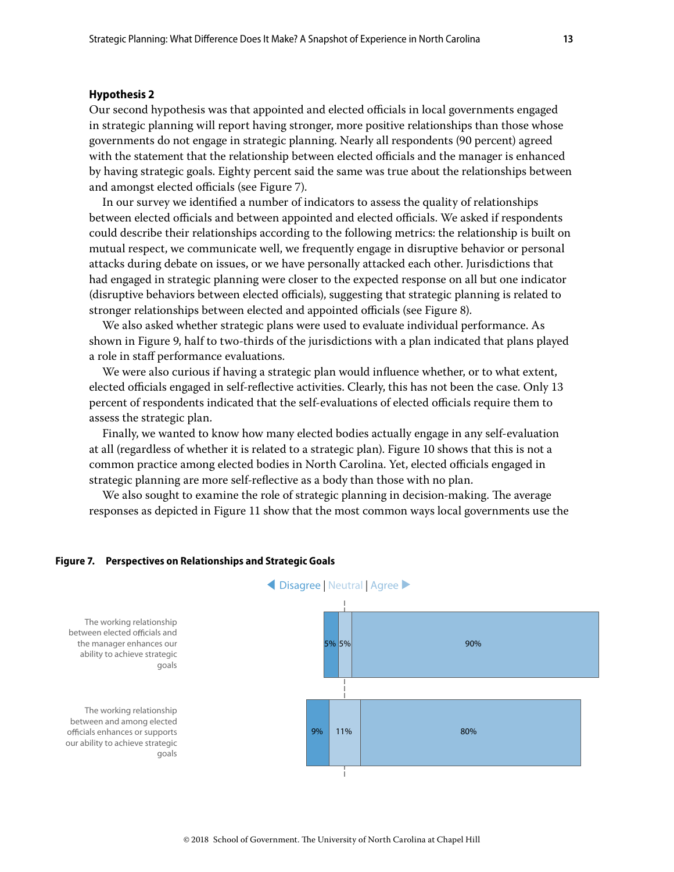#### <span id="page-12-0"></span>**Hypothesis 2**

Our second hypothesis was that appointed and elected officials in local governments engaged in strategic planning will report having stronger, more positive relationships than those whose governments do not engage in strategic planning. Nearly all respondents (90 percent) agreed with the statement that the relationship between elected officials and the manager is enhanced by having strategic goals. Eighty percent said the same was true about the relationships between and amongst elected officials (see Figure 7).

In our survey we identified a number of indicators to assess the quality of relationships between elected officials and between appointed and elected officials. We asked if respondents could describe their relationships according to the following metrics: the relationship is built on mutual respect, we communicate well, we frequently engage in disruptive behavior or personal attacks during debate on issues, or we have personally attacked each other. Jurisdictions that had engaged in strategic planning were closer to the expected response on all but one indicator (disruptive behaviors between elected officials), suggesting that strategic planning is related to stronger relationships between elected and appointed officials (see Figure 8).

We also asked whether strategic plans were used to evaluate individual performance. As shown in Figure 9, half to two-thirds of the jurisdictions with a plan indicated that plans played a role in staff performance evaluations.

We were also curious if having a strategic plan would influence whether, or to what extent, elected officials engaged in self-reflective activities. Clearly, this has not been the case. Only 13 percent of respondents indicated that the self-evaluations of elected officials require them to assess the strategic plan.

Finally, we wanted to know how many elected bodies actually engage in any self-evaluation at all (regardless of whether it is related to a strategic plan). Figure 10 shows that this is not a common practice among elected bodies in North Carolina. Yet, elected officials engaged in strategic planning are more self-reflective as a body than those with no plan.

We also sought to examine the role of strategic planning in decision-making. The average responses as depicted in Figure 11 show that the most common ways local governments use the

#### **Figure 7. Perspectives on Relationships and Strategic Goals**



The working relationship between elected officials and the manager enhances our ability to achieve strategic goals

The working relationship between and among elected officials enhances or supports our ability to achieve strategic goals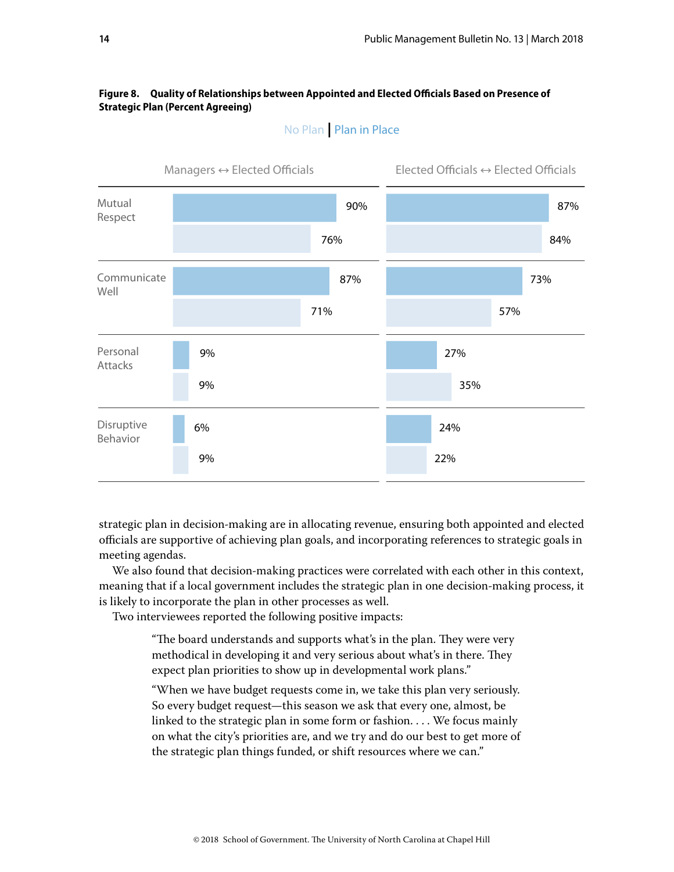#### **Figure 8. Quality of Relationships between Appointed and Elected Officials Based on Presence of Strategic Plan (Percent Agreeing)**



# No Plan **|** Plan in Place

strategic plan in decision-making are in allocating revenue, ensuring both appointed and elected officials are supportive of achieving plan goals, and incorporating references to strategic goals in meeting agendas.

We also found that decision-making practices were correlated with each other in this context, meaning that if a local government includes the strategic plan in one decision-making process, it is likely to incorporate the plan in other processes as well.

Two interviewees reported the following positive impacts:

"The board understands and supports what's in the plan. They were very methodical in developing it and very serious about what's in there. They expect plan priorities to show up in developmental work plans."

"When we have budget requests come in, we take this plan very seriously. So every budget request—this season we ask that every one, almost, be linked to the strategic plan in some form or fashion. . . . We focus mainly on what the city's priorities are, and we try and do our best to get more of the strategic plan things funded, or shift resources where we can."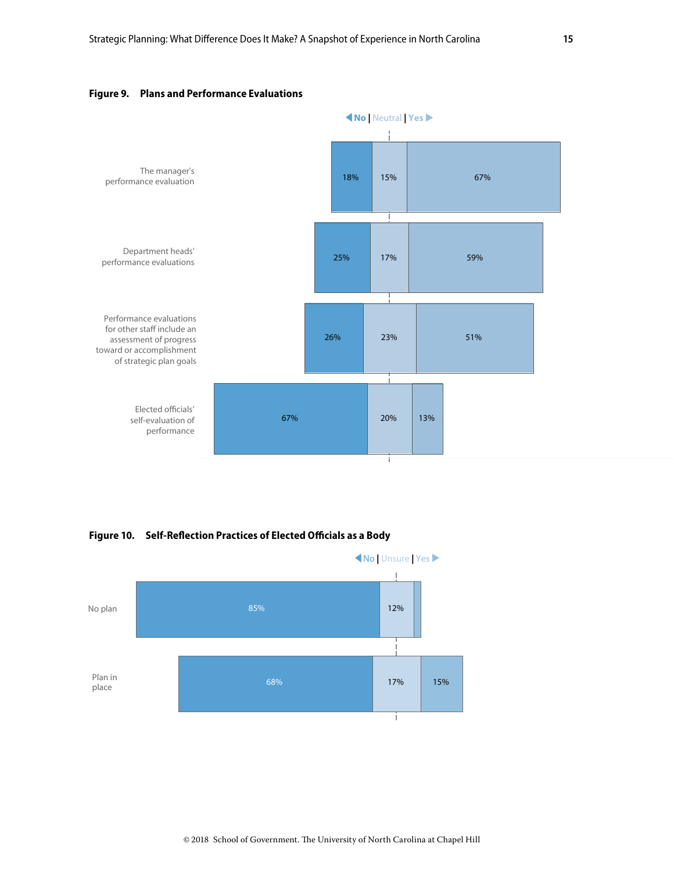

#### **Figure 9. Plans and Performance Evaluations**

**Figure 10. Self-Reflection Practices of Elected Officials as a Body**

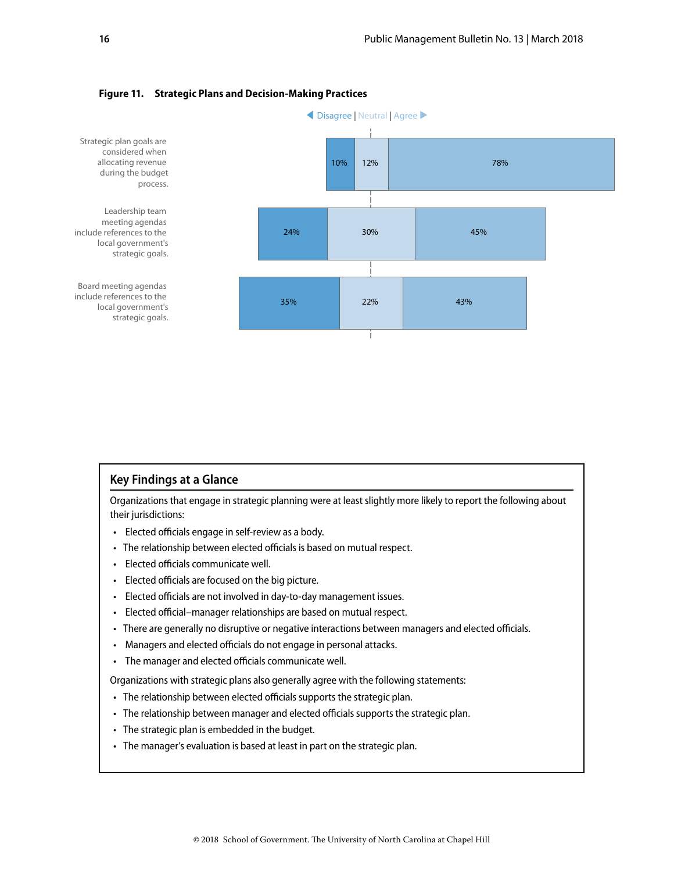

#### **Figure 11. Strategic Plans and Decision-Making Practices**

#### **Key Findings at a Glance**

Organizations that engage in strategic planning were at least slightly more likely to report the following about their jurisdictions:

- Elected officials engage in self-review as a body.
- The relationship between elected officials is based on mutual respect.
- Elected officials communicate well.
- Elected officials are focused on the big picture.
- Elected officials are not involved in day-to-day management issues.
- Elected official–manager relationships are based on mutual respect.
- There are generally no disruptive or negative interactions between managers and elected officials.
- Managers and elected officials do not engage in personal attacks.
- The manager and elected officials communicate well.

Organizations with strategic plans also generally agree with the following statements:

- The relationship between elected officials supports the strategic plan.
- The relationship between manager and elected officials supports the strategic plan.
- The strategic plan is embedded in the budget.
- The manager's evaluation is based at least in part on the strategic plan.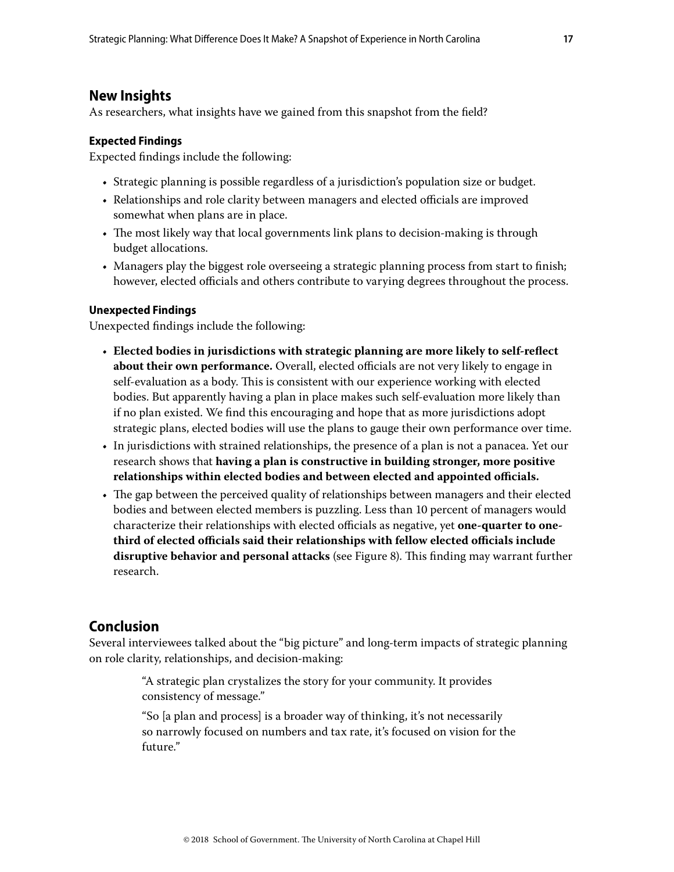# <span id="page-16-0"></span>**New Insights**

As researchers, what insights have we gained from this snapshot from the field?

#### **Expected Findings**

Expected findings include the following:

- Strategic planning is possible regardless of a jurisdiction's population size or budget.
- Relationships and role clarity between managers and elected officials are improved somewhat when plans are in place.
- The most likely way that local governments link plans to decision-making is through budget allocations.
- Managers play the biggest role overseeing a strategic planning process from start to finish; however, elected officials and others contribute to varying degrees throughout the process.

#### **Unexpected Findings**

Unexpected findings include the following:

- **Elected bodies in jurisdictions with strategic planning are more likely to self-reflect about their own performance.** Overall, elected officials are not very likely to engage in self-evaluation as a body. This is consistent with our experience working with elected bodies. But apparently having a plan in place makes such self-evaluation more likely than if no plan existed. We find this encouraging and hope that as more jurisdictions adopt strategic plans, elected bodies will use the plans to gauge their own performance over time.
- In jurisdictions with strained relationships, the presence of a plan is not a panacea. Yet our research shows that **having a plan is constructive in building stronger, more positive relationships within elected bodies and between elected and appointed officials.**
- The gap between the perceived quality of relationships between managers and their elected bodies and between elected members is puzzling. Less than 10 percent of managers would characterize their relationships with elected officials as negative, yet **one-quarter to onethird of elected officials said their relationships with fellow elected officials include disruptive behavior and personal attacks** (see Figure 8). This finding may warrant further research.

# **Conclusion**

Several interviewees talked about the "big picture" and long-term impacts of strategic planning on role clarity, relationships, and decision-making:

> "A strategic plan crystalizes the story for your community. It provides consistency of message."

"So [a plan and process] is a broader way of thinking, it's not necessarily so narrowly focused on numbers and tax rate, it's focused on vision for the future."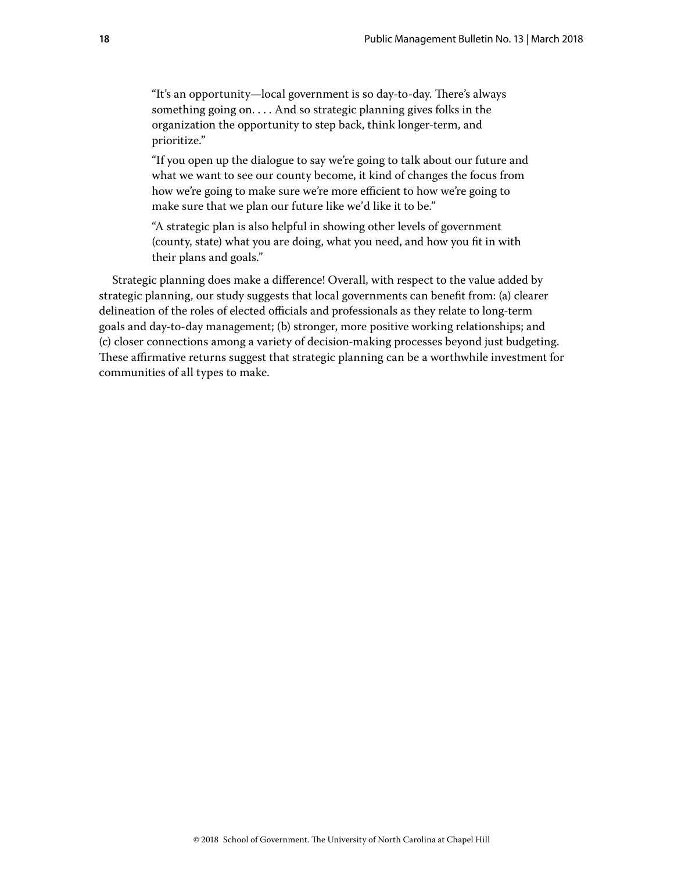"It's an opportunity—local government is so day-to-day. There's always something going on. . . . And so strategic planning gives folks in the organization the opportunity to step back, think longer-term, and prioritize."

"If you open up the dialogue to say we're going to talk about our future and what we want to see our county become, it kind of changes the focus from how we're going to make sure we're more efficient to how we're going to make sure that we plan our future like we'd like it to be."

"A strategic plan is also helpful in showing other levels of government (county, state) what you are doing, what you need, and how you fit in with their plans and goals."

Strategic planning does make a difference! Overall, with respect to the value added by strategic planning, our study suggests that local governments can benefit from: (a) clearer delineation of the roles of elected officials and professionals as they relate to long-term goals and day-to-day management; (b) stronger, more positive working relationships; and (c) closer connections among a variety of decision-making processes beyond just budgeting. These affirmative returns suggest that strategic planning can be a worthwhile investment for communities of all types to make.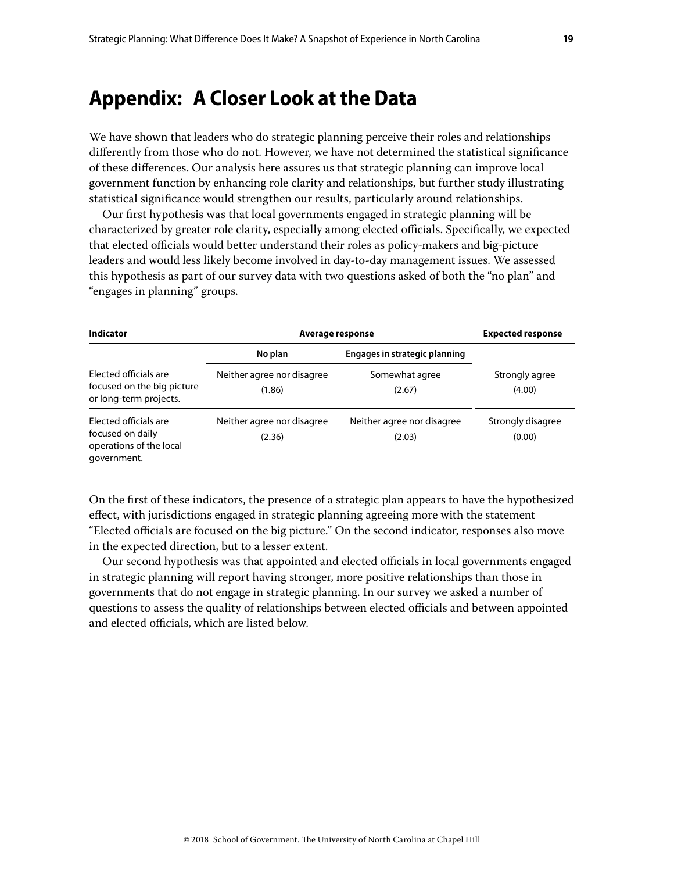# <span id="page-18-0"></span>**Appendix: A Closer Look at the Data**

We have shown that leaders who do strategic planning perceive their roles and relationships differently from those who do not. However, we have not determined the statistical significance of these differences. Our analysis here assures us that strategic planning can improve local government function by enhancing role clarity and relationships, but further study illustrating statistical significance would strengthen our results, particularly around relationships.

Our first hypothesis was that local governments engaged in strategic planning will be characterized by greater role clarity, especially among elected officials. Specifically, we expected that elected officials would better understand their roles as policy-makers and big-picture leaders and would less likely become involved in day-to-day management issues. We assessed this hypothesis as part of our survey data with two questions asked of both the "no plan" and "engages in planning" groups.

| Indicator<br><b>Flected officials are</b><br>focused on the big picture<br>or long-term projects. | Average response                     |                                      | <b>Expected response</b>    |
|---------------------------------------------------------------------------------------------------|--------------------------------------|--------------------------------------|-----------------------------|
|                                                                                                   | No plan                              | Engages in strategic planning        |                             |
|                                                                                                   | Neither agree nor disagree<br>(1.86) | Somewhat agree<br>(2.67)             | Strongly agree<br>(4.00)    |
| Elected officials are<br>focused on daily<br>operations of the local<br>government.               | Neither agree nor disagree<br>(2.36) | Neither agree nor disagree<br>(2.03) | Strongly disagree<br>(0.00) |

On the first of these indicators, the presence of a strategic plan appears to have the hypothesized effect, with jurisdictions engaged in strategic planning agreeing more with the statement "Elected officials are focused on the big picture." On the second indicator, responses also move in the expected direction, but to a lesser extent.

Our second hypothesis was that appointed and elected officials in local governments engaged in strategic planning will report having stronger, more positive relationships than those in governments that do not engage in strategic planning. In our survey we asked a number of questions to assess the quality of relationships between elected officials and between appointed and elected officials, which are listed below.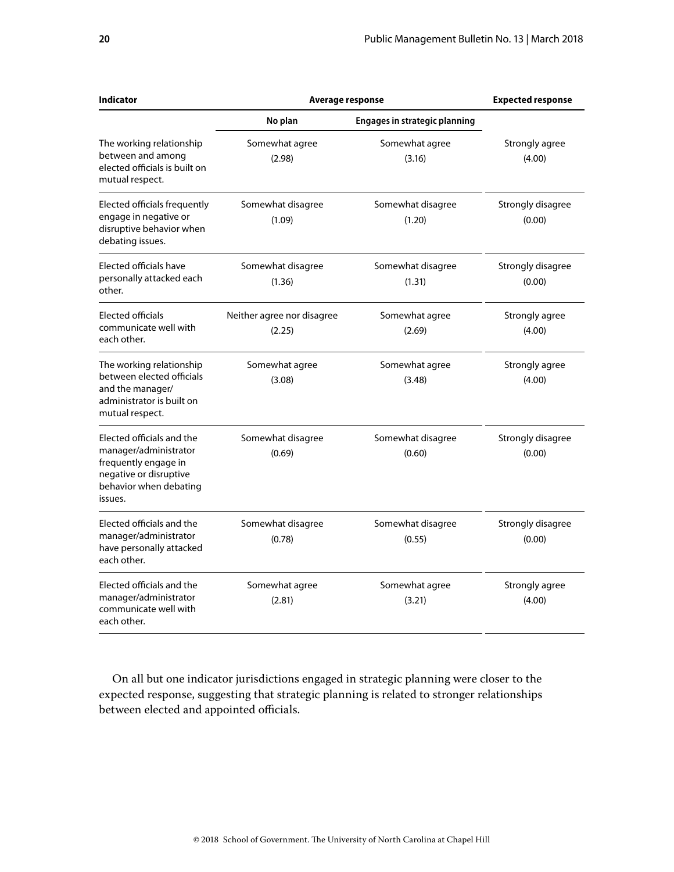| <b>Indicator</b>                                                                                                                          | Average response                     |                                      | <b>Expected response</b>    |
|-------------------------------------------------------------------------------------------------------------------------------------------|--------------------------------------|--------------------------------------|-----------------------------|
|                                                                                                                                           | No plan                              | <b>Engages in strategic planning</b> |                             |
| The working relationship<br>between and among<br>elected officials is built on<br>mutual respect.                                         | Somewhat agree<br>(2.98)             | Somewhat agree<br>(3.16)             | Strongly agree<br>(4.00)    |
| Elected officials frequently<br>engage in negative or<br>disruptive behavior when<br>debating issues.                                     | Somewhat disagree<br>(1.09)          | Somewhat disagree<br>(1.20)          | Strongly disagree<br>(0.00) |
| Elected officials have<br>personally attacked each<br>other.                                                                              | Somewhat disagree<br>(1.36)          | Somewhat disagree<br>(1.31)          | Strongly disagree<br>(0.00) |
| <b>Elected officials</b><br>communicate well with<br>each other.                                                                          | Neither agree nor disagree<br>(2.25) | Somewhat agree<br>(2.69)             | Strongly agree<br>(4.00)    |
| The working relationship<br>between elected officials<br>and the manager/<br>administrator is built on<br>mutual respect.                 | Somewhat agree<br>(3.08)             | Somewhat agree<br>(3.48)             | Strongly agree<br>(4.00)    |
| Elected officials and the<br>manager/administrator<br>frequently engage in<br>negative or disruptive<br>behavior when debating<br>issues. | Somewhat disagree<br>(0.69)          | Somewhat disagree<br>(0.60)          | Strongly disagree<br>(0.00) |
| Elected officials and the<br>manager/administrator<br>have personally attacked<br>each other.                                             | Somewhat disagree<br>(0.78)          | Somewhat disagree<br>(0.55)          | Strongly disagree<br>(0.00) |
| Elected officials and the<br>manager/administrator<br>communicate well with<br>each other.                                                | Somewhat agree<br>(2.81)             | Somewhat agree<br>(3.21)             | Strongly agree<br>(4.00)    |

On all but one indicator jurisdictions engaged in strategic planning were closer to the expected response, suggesting that strategic planning is related to stronger relationships between elected and appointed officials.